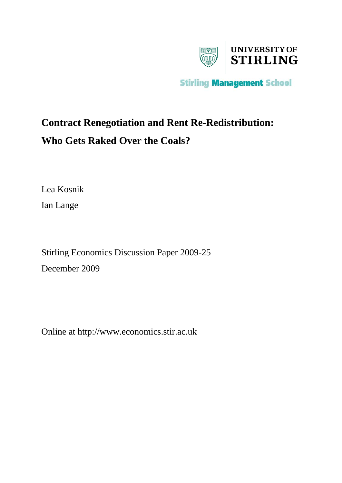

## **Contract Renegotiation and Rent Re-Redistribution: Who Gets Raked Over the Coals?**

Lea Kosnik

Ian Lange

Stirling Economics Discussion Paper 2009-25 December 2009

Online at http://www.economics.stir.ac.uk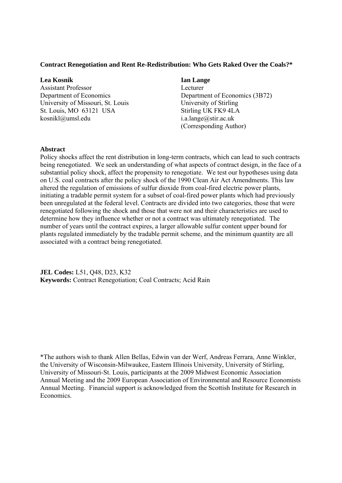#### **Contract Renegotiation and Rent Re-Redistribution: Who Gets Raked Over the Coals?\***

#### **Lea Kosnik Ian Lange 12.12 Ian Lange**

Assistant ProfessorLecturer University of Missouri, St. Louis University of Stirling St. Louis, MO 63121 USA Stirling UK FK9 4LA kosnikl@umsl.edu i.a.lange@stir.ac.uk

# Department of EconomicsDepartment of Economics (3B72) (Corresponding Author)

#### **Abstract**

Policy shocks affect the rent distribution in long-term contracts, which can lead to such contracts being renegotiated. We seek an understanding of what aspects of contract design, in the face of a substantial policy shock, affect the propensity to renegotiate. We test our hypotheses using data on U.S. coal contracts after the policy shock of the 1990 Clean Air Act Amendments. This law altered the regulation of emissions of sulfur dioxide from coal-fired electric power plants, initiating a tradable permit system for a subset of coal-fired power plants which had previously been unregulated at the federal level. Contracts are divided into two categories, those that were renegotiated following the shock and those that were not and their characteristics are used to determine how they influence whether or not a contract was ultimately renegotiated. The number of years until the contract expires, a larger allowable sulfur content upper bound for plants regulated immediately by the tradable permit scheme, and the minimum quantity are all associated with a contract being renegotiated.

**JEL Codes:** L51, Q48, D23, K32 **Keywords:** Contract Renegotiation; Coal Contracts; Acid Rain

\*The authors wish to thank Allen Bellas, Edwin van der Werf, Andreas Ferrara, Anne Winkler, the University of Wisconsin-Milwaukee, Eastern Illinois University, University of Stirling, University of Missouri-St. Louis, participants at the 2009 Midwest Economic Association Annual Meeting and the 2009 European Association of Environmental and Resource Economists Annual Meeting. Financial support is acknowledged from the Scottish Institute for Research in Economics.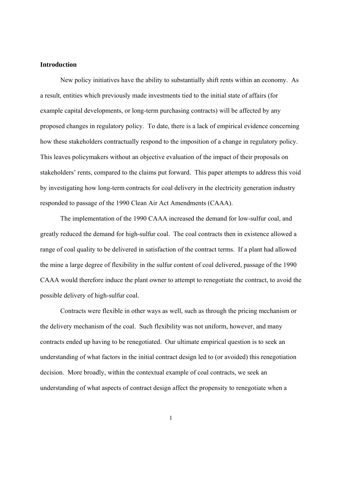#### **Introduction**

New policy initiatives have the ability to substantially shift rents within an economy. As a result, entities which previously made investments tied to the initial state of affairs (for example capital developments, or long-term purchasing contracts) will be affected by any proposed changes in regulatory policy. To date, there is a lack of empirical evidence concerning how these stakeholders contractually respond to the imposition of a change in regulatory policy. This leaves policymakers without an objective evaluation of the impact of their proposals on stakeholders' rents, compared to the claims put forward. This paper attempts to address this void by investigating how long-term contracts for coal delivery in the electricity generation industry responded to passage of the 1990 Clean Air Act Amendments (CAAA).

The implementation of the 1990 CAAA increased the demand for low-sulfur coal, and greatly reduced the demand for high-sulfur coal. The coal contracts then in existence allowed a range of coal quality to be delivered in satisfaction of the contract terms. If a plant had allowed the mine a large degree of flexibility in the sulfur content of coal delivered, passage of the 1990 CAAA would therefore induce the plant owner to attempt to renegotiate the contract, to avoid the possible delivery of high-sulfur coal.

Contracts were flexible in other ways as well, such as through the pricing mechanism or the delivery mechanism of the coal. Such flexibility was not uniform, however, and many contracts ended up having to be renegotiated. Our ultimate empirical question is to seek an understanding of what factors in the initial contract design led to (or avoided) this renegotiation decision. More broadly, within the contextual example of coal contracts, we seek an understanding of what aspects of contract design affect the propensity to renegotiate when a

1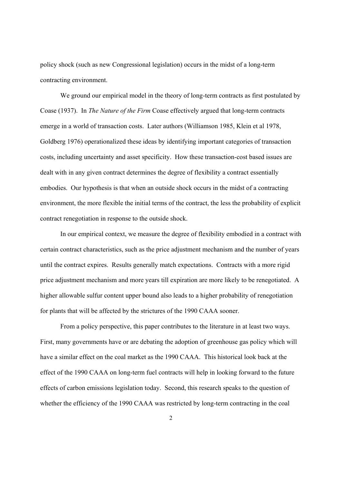policy shock (such as new Congressional legislation) occurs in the midst of a long-term contracting environment.

 We ground our empirical model in the theory of long-term contracts as first postulated by Coase (1937). In *The Nature of the Firm* Coase effectively argued that long-term contracts emerge in a world of transaction costs. Later authors (Williamson 1985, Klein et al 1978, Goldberg 1976) operationalized these ideas by identifying important categories of transaction costs, including uncertainty and asset specificity. How these transaction-cost based issues are dealt with in any given contract determines the degree of flexibility a contract essentially embodies. Our hypothesis is that when an outside shock occurs in the midst of a contracting environment, the more flexible the initial terms of the contract, the less the probability of explicit contract renegotiation in response to the outside shock.

In our empirical context, we measure the degree of flexibility embodied in a contract with certain contract characteristics, such as the price adjustment mechanism and the number of years until the contract expires. Results generally match expectations. Contracts with a more rigid price adjustment mechanism and more years till expiration are more likely to be renegotiated. A higher allowable sulfur content upper bound also leads to a higher probability of renegotiation for plants that will be affected by the strictures of the 1990 CAAA sooner.

From a policy perspective, this paper contributes to the literature in at least two ways. First, many governments have or are debating the adoption of greenhouse gas policy which will have a similar effect on the coal market as the 1990 CAAA. This historical look back at the effect of the 1990 CAAA on long-term fuel contracts will help in looking forward to the future effects of carbon emissions legislation today. Second, this research speaks to the question of whether the efficiency of the 1990 CAAA was restricted by long-term contracting in the coal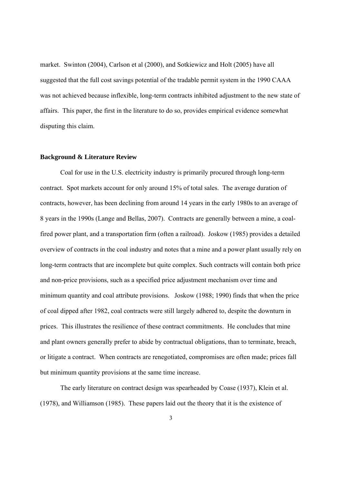market. Swinton (2004), Carlson et al (2000), and Sotkiewicz and Holt (2005) have all suggested that the full cost savings potential of the tradable permit system in the 1990 CAAA was not achieved because inflexible, long-term contracts inhibited adjustment to the new state of affairs. This paper, the first in the literature to do so, provides empirical evidence somewhat disputing this claim.

#### **Background & Literature Review**

Coal for use in the U.S. electricity industry is primarily procured through long-term contract. Spot markets account for only around 15% of total sales. The average duration of contracts, however, has been declining from around 14 years in the early 1980s to an average of 8 years in the 1990s (Lange and Bellas, 2007). Contracts are generally between a mine, a coalfired power plant, and a transportation firm (often a railroad). Joskow (1985) provides a detailed overview of contracts in the coal industry and notes that a mine and a power plant usually rely on long-term contracts that are incomplete but quite complex. Such contracts will contain both price and non-price provisions, such as a specified price adjustment mechanism over time and minimum quantity and coal attribute provisions. Joskow (1988; 1990) finds that when the price of coal dipped after 1982, coal contracts were still largely adhered to, despite the downturn in prices. This illustrates the resilience of these contract commitments. He concludes that mine and plant owners generally prefer to abide by contractual obligations, than to terminate, breach, or litigate a contract. When contracts are renegotiated, compromises are often made; prices fall but minimum quantity provisions at the same time increase.

 The early literature on contract design was spearheaded by Coase (1937), Klein et al. (1978), and Williamson (1985). These papers laid out the theory that it is the existence of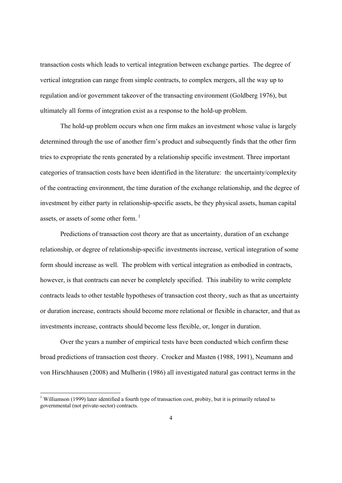transaction costs which leads to vertical integration between exchange parties. The degree of vertical integration can range from simple contracts, to complex mergers, all the way up to regulation and/or government takeover of the transacting environment (Goldberg 1976), but ultimately all forms of integration exist as a response to the hold-up problem.

The hold-up problem occurs when one firm makes an investment whose value is largely determined through the use of another firm's product and subsequently finds that the other firm tries to expropriate the rents generated by a relationship specific investment. Three important categories of transaction costs have been identified in the literature: the uncertainty/complexity of the contracting environment, the time duration of the exchange relationship, and the degree of investment by either party in relationship-specific assets, be they physical assets, human capital assets, or assets of some other form.  $1$ 

Predictions of transaction cost theory are that as uncertainty, duration of an exchange relationship, or degree of relationship-specific investments increase, vertical integration of some form should increase as well. The problem with vertical integration as embodied in contracts, however, is that contracts can never be completely specified. This inability to write complete contracts leads to other testable hypotheses of transaction cost theory, such as that as uncertainty or duration increase, contracts should become more relational or flexible in character, and that as investments increase, contracts should become less flexible, or, longer in duration.

Over the years a number of empirical tests have been conducted which confirm these broad predictions of transaction cost theory. Crocker and Masten (1988, 1991), Neumann and von Hirschhausen (2008) and Mulherin (1986) all investigated natural gas contract terms in the

<sup>&</sup>lt;sup>1</sup> Williamson (1999) later identified a fourth type of transaction cost, probity, but it is primarily related to governmental (not private-sector) contracts.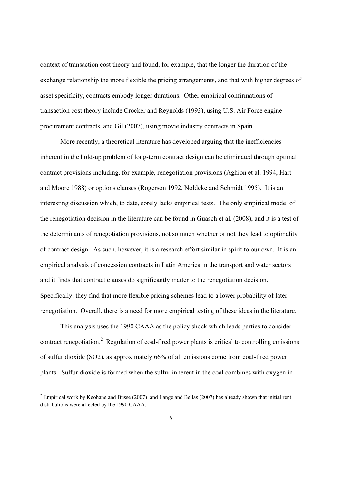context of transaction cost theory and found, for example, that the longer the duration of the exchange relationship the more flexible the pricing arrangements, and that with higher degrees of asset specificity, contracts embody longer durations. Other empirical confirmations of transaction cost theory include Crocker and Reynolds (1993), using U.S. Air Force engine procurement contracts, and Gil (2007), using movie industry contracts in Spain.

 More recently, a theoretical literature has developed arguing that the inefficiencies inherent in the hold-up problem of long-term contract design can be eliminated through optimal contract provisions including, for example, renegotiation provisions (Aghion et al. 1994, Hart and Moore 1988) or options clauses (Rogerson 1992, Noldeke and Schmidt 1995). It is an interesting discussion which, to date, sorely lacks empirical tests. The only empirical model of the renegotiation decision in the literature can be found in Guasch et al. (2008), and it is a test of the determinants of renegotiation provisions, not so much whether or not they lead to optimality of contract design. As such, however, it is a research effort similar in spirit to our own. It is an empirical analysis of concession contracts in Latin America in the transport and water sectors and it finds that contract clauses do significantly matter to the renegotiation decision. Specifically, they find that more flexible pricing schemes lead to a lower probability of later renegotiation. Overall, there is a need for more empirical testing of these ideas in the literature.

 This analysis uses the 1990 CAAA as the policy shock which leads parties to consider contract renegotiation.<sup>2</sup> Regulation of coal-fired power plants is critical to controlling emissions of sulfur dioxide (SO2), as approximately 66% of all emissions come from coal-fired power plants. Sulfur dioxide is formed when the sulfur inherent in the coal combines with oxygen in

<sup>&</sup>lt;sup>2</sup> Empirical work by Keohane and Busse (2007) and Lange and Bellas (2007) has already shown that initial rent distributions were affected by the 1990 CAAA.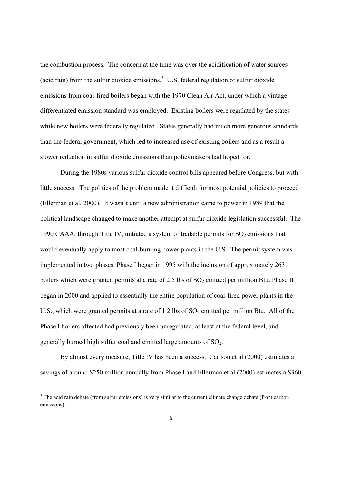the combustion process. The concern at the time was over the acidification of water sources (acid rain) from the sulfur dioxide emissions. $3 \,$  U.S. federal regulation of sulfur dioxide emissions from coal-fired boilers began with the 1970 Clean Air Act, under which a vintage differentiated emission standard was employed. Existing boilers were regulated by the states while new boilers were federally regulated. States generally had much more generous standards than the federal government, which led to increased use of existing boilers and as a result a slower reduction in sulfur dioxide emissions than policymakers had hoped for.

During the 1980s various sulfur dioxide control bills appeared before Congress, but with little success. The politics of the problem made it difficult for most potential policies to proceed (Ellerman et al, 2000). It wasn't until a new administration came to power in 1989 that the political landscape changed to make another attempt at sulfur dioxide legislation successful. The 1990 CAAA, through Title IV, initiated a system of tradable permits for  $SO_2$  emissions that would eventually apply to most coal-burning power plants in the U.S. The permit system was implemented in two phases. Phase I began in 1995 with the inclusion of approximately 263 boilers which were granted permits at a rate of 2.5 lbs of  $SO_2$  emitted per million Btu. Phase II began in 2000 and applied to essentially the entire population of coal-fired power plants in the U.S., which were granted permits at a rate of 1.2 lbs of  $SO<sub>2</sub>$  emitted per million Btu. All of the Phase I boilers affected had previously been unregulated, at least at the federal level, and generally burned high sulfur coal and emitted large amounts of  $SO<sub>2</sub>$ .

By almost every measure, Title IV has been a success. Carlson et al (2000) estimates a savings of around \$250 million annually from Phase I and Ellerman et al (2000) estimates a \$360

 $3$  The acid rain debate (from sulfur emissions) is very similar to the current climate change debate (from carbon emissions).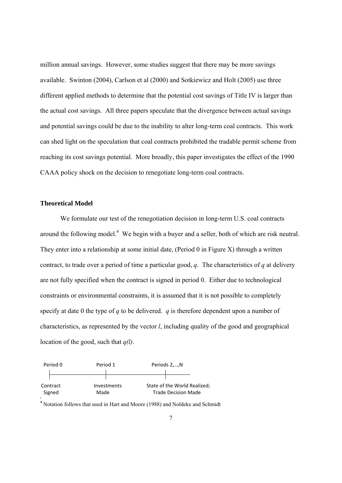million annual savings. However, some studies suggest that there may be more savings available. Swinton (2004), Carlson et al (2000) and Sotkiewicz and Holt (2005) use three different applied methods to determine that the potential cost savings of Title IV is larger than the actual cost savings. All three papers speculate that the divergence between actual savings and potential savings could be due to the inability to alter long-term coal contracts. This work can shed light on the speculation that coal contracts prohibited the tradable permit scheme from reaching its cost savings potential. More broadly, this paper investigates the effect of the 1990 CAAA policy shock on the decision to renegotiate long-term coal contracts.

#### **Theoretical Model**

We formulate our test of the renegotiation decision in long-term U.S. coal contracts around the following model.<sup>4</sup> We begin with a buyer and a seller, both of which are risk neutral. They enter into a relationship at some initial date, (Period 0 in Figure X) through a written contract, to trade over a period of time a particular good, *q*. The characteristics of *q* at delivery are not fully specified when the contract is signed in period 0. Either due to technological constraints or environmental constraints, it is assumed that it is not possible to completely specify at date 0 the type of *q* to be delivered. *q* is therefore dependent upon a number of characteristics, as represented by the vector *l*, including quality of the good and geographical location of the good, such that *q(l)*.



<sup>&</sup>lt;sup>4</sup> Notation follows that used in Hart and Moore (1988) and Noldeke and Schmidt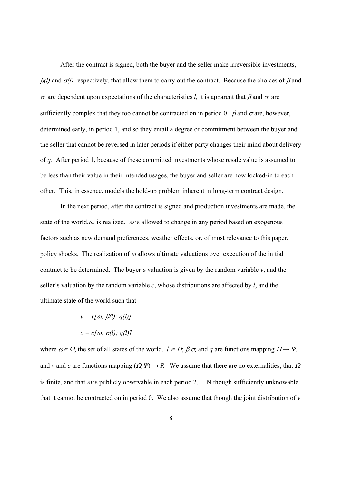After the contract is signed, both the buyer and the seller make irreversible investments,  $\beta$ (l) and  $\sigma$ (l) respectively, that allow them to carry out the contract. Because the choices of  $\beta$  and  $\sigma$  are dependent upon expectations of the characteristics *l*, it is apparent that  $\beta$  and  $\sigma$  are sufficiently complex that they too cannot be contracted on in period 0.  $\beta$  and  $\sigma$  are, however, determined early, in period 1, and so they entail a degree of commitment between the buyer and the seller that cannot be reversed in later periods if either party changes their mind about delivery of *q*. After period 1, because of these committed investments whose resale value is assumed to be less than their value in their intended usages, the buyer and seller are now locked-in to each other. This, in essence, models the hold-up problem inherent in long-term contract design.

In the next period, after the contract is signed and production investments are made, the state of the world, $\omega$ , is realized.  $\omega$  is allowed to change in any period based on exogenous factors such as new demand preferences, weather effects, or, of most relevance to this paper, policy shocks. The realization of  $\omega$  allows ultimate valuations over execution of the initial contract to be determined. The buyer's valuation is given by the random variable *v*, and the seller's valuation by the random variable *c*, whose distributions are affected by *l*, and the ultimate state of the world such that

$$
v = v[\omega; \beta(1); q(1)]
$$

$$
c = c[\omega; \sigma(1); q(1)]
$$

where  $\omega \in \Omega$ , the set of all states of the world,  $l \in \Pi$ ,  $\beta$ ,  $\sigma$ , and  $q$  are functions mapping  $\Pi \rightarrow \Psi$ , and *v* and *c* are functions mapping  $(Q, \Psi) \rightarrow R$ . We assume that there are no externalities, that  $\Omega$ is finite, and that  $\omega$  is publicly observable in each period 2,…,N though sufficiently unknowable that it cannot be contracted on in period 0. We also assume that though the joint distribution of *v*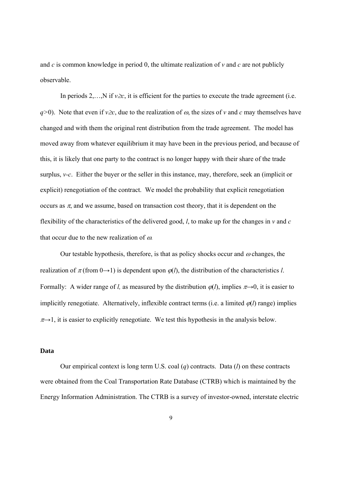and *c* is common knowledge in period 0, the ultimate realization of *v* and *c* are not publicly observable.

In periods 2,…,N if  $v \ge c$ , it is efficient for the parties to execute the trade agreement (i.e. *q*>0). Note that even if *v* $\geq$ *c*, due to the realization of  $\omega$ , the sizes of *v* and *c* may themselves have changed and with them the original rent distribution from the trade agreement. The model has moved away from whatever equilibrium it may have been in the previous period, and because of this, it is likely that one party to the contract is no longer happy with their share of the trade surplus, *v-c*. Either the buyer or the seller in this instance, may, therefore, seek an (implicit or explicit) renegotiation of the contract. We model the probability that explicit renegotiation occurs as  $\pi$ , and we assume, based on transaction cost theory, that it is dependent on the flexibility of the characteristics of the delivered good, *l*, to make up for the changes in *v* and *c*  that occur due to the new realization of  $\omega$ .

Our testable hypothesis, therefore, is that as policy shocks occur and  $\omega$  changes, the realization of  $\pi$  (from 0→1) is dependent upon  $\varphi$ (*l*), the distribution of the characteristics *l*. Formally: A wider range of *l*, as measured by the distribution  $\varphi$ (*l*), implies  $\pi \rightarrow 0$ , it is easier to implicitly renegotiate. Alternatively, inflexible contract terms (i.e. a limited  $\varphi(l)$  range) implies  $\pi \rightarrow 1$ , it is easier to explicitly renegotiate. We test this hypothesis in the analysis below.

#### **Data**

Our empirical context is long term U.S. coal (*q*) contracts. Data (*l*) on these contracts were obtained from the Coal Transportation Rate Database (CTRB) which is maintained by the Energy Information Administration. The CTRB is a survey of investor-owned, interstate electric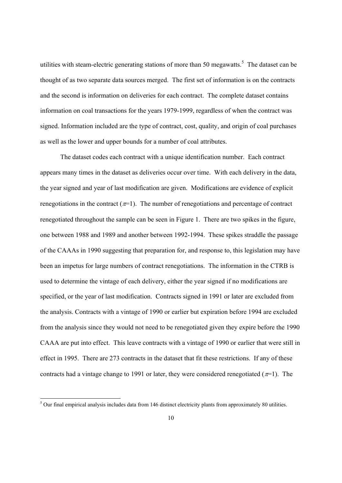utilities with steam-electric generating stations of more than 50 megawatts.<sup>5</sup> The dataset can be thought of as two separate data sources merged. The first set of information is on the contracts and the second is information on deliveries for each contract. The complete dataset contains information on coal transactions for the years 1979-1999, regardless of when the contract was signed. Information included are the type of contract, cost, quality, and origin of coal purchases as well as the lower and upper bounds for a number of coal attributes.

The dataset codes each contract with a unique identification number. Each contract appears many times in the dataset as deliveries occur over time. With each delivery in the data, the year signed and year of last modification are given. Modifications are evidence of explicit renegotiations in the contract  $(\pi=1)$ . The number of renegotiations and percentage of contract renegotiated throughout the sample can be seen in Figure 1. There are two spikes in the figure, one between 1988 and 1989 and another between 1992-1994. These spikes straddle the passage of the CAAAs in 1990 suggesting that preparation for, and response to, this legislation may have been an impetus for large numbers of contract renegotiations. The information in the CTRB is used to determine the vintage of each delivery, either the year signed if no modifications are specified, or the year of last modification. Contracts signed in 1991 or later are excluded from the analysis. Contracts with a vintage of 1990 or earlier but expiration before 1994 are excluded from the analysis since they would not need to be renegotiated given they expire before the 1990 CAAA are put into effect. This leave contracts with a vintage of 1990 or earlier that were still in effect in 1995. There are 273 contracts in the dataset that fit these restrictions. If any of these contracts had a vintage change to 1991 or later, they were considered renegotiated ( $\pi$ =1). The

<sup>&</sup>lt;sup>5</sup> Our final empirical analysis includes data from 146 distinct electricity plants from approximately 80 utilities.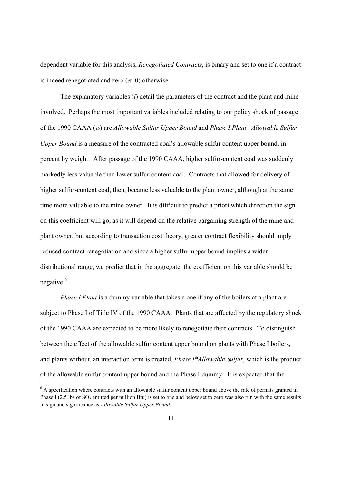dependent variable for this analysis, *Renegotiated Contracts*, is binary and set to one if a contract is indeed renegotiated and zero  $(\pi=0)$  otherwise.

The explanatory variables (*l*) detail the parameters of the contract and the plant and mine involved. Perhaps the most important variables included relating to our policy shock of passage of the 1990 CAAA ( $\omega$ ) are *Allowable Sulfur Upper Bound* and *Phase I Plant. Allowable Sulfur Upper Bound* is a measure of the contracted coal's allowable sulfur content upper bound, in percent by weight. After passage of the 1990 CAAA, higher sulfur-content coal was suddenly markedly less valuable than lower sulfur-content coal. Contracts that allowed for delivery of higher sulfur-content coal, then, became less valuable to the plant owner, although at the same time more valuable to the mine owner. It is difficult to predict a priori which direction the sign on this coefficient will go, as it will depend on the relative bargaining strength of the mine and plant owner, but according to transaction cost theory, greater contract flexibility should imply reduced contract renegotiation and since a higher sulfur upper bound implies a wider distributional range, we predict that in the aggregate, the coefficient on this variable should be negative. $6$ 

*Phase I Plant* is a dummy variable that takes a one if any of the boilers at a plant are subject to Phase I of Title IV of the 1990 CAAA. Plants that are affected by the regulatory shock of the 1990 CAAA are expected to be more likely to renegotiate their contracts. To distinguish between the effect of the allowable sulfur content upper bound on plants with Phase I boilers, and plants without, an interaction term is created, *Phase I\*Allowable Sulfur*, which is the product of the allowable sulfur content upper bound and the Phase I dummy. It is expected that the

<sup>&</sup>lt;sup>6</sup> A specification where contracts with an allowable sulfur content upper bound above the rate of permits granted in Phase I (2.5 lbs of  $SO_2$  emitted per million Btu) is set to one and below set to zero was also run with the same results in sign and significance as *Allowable Sulfur Upper Bound*.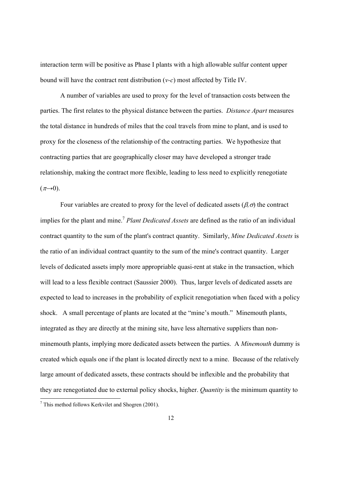interaction term will be positive as Phase I plants with a high allowable sulfur content upper bound will have the contract rent distribution (*v-c*) most affected by Title IV.

A number of variables are used to proxy for the level of transaction costs between the parties. The first relates to the physical distance between the parties. *Distance Apart* measures the total distance in hundreds of miles that the coal travels from mine to plant, and is used to proxy for the closeness of the relationship of the contracting parties. We hypothesize that contracting parties that are geographically closer may have developed a stronger trade relationship, making the contract more flexible, leading to less need to explicitly renegotiate  $(\pi \rightarrow 0)$ .

Four variables are created to proxy for the level of dedicated assets  $(\beta, \sigma)$  the contract implies for the plant and mine.<sup>7</sup> *Plant Dedicated Assets* are defined as the ratio of an individual contract quantity to the sum of the plant's contract quantity. Similarly, *Mine Dedicated Assets* is the ratio of an individual contract quantity to the sum of the mine's contract quantity. Larger levels of dedicated assets imply more appropriable quasi-rent at stake in the transaction, which will lead to a less flexible contract (Saussier 2000). Thus, larger levels of dedicated assets are expected to lead to increases in the probability of explicit renegotiation when faced with a policy shock. A small percentage of plants are located at the "mine's mouth." Minemouth plants, integrated as they are directly at the mining site, have less alternative suppliers than nonminemouth plants, implying more dedicated assets between the parties. A *Minemouth* dummy is created which equals one if the plant is located directly next to a mine. Because of the relatively large amount of dedicated assets, these contracts should be inflexible and the probability that they are renegotiated due to external policy shocks, higher. *Quantity* is the minimum quantity to

 7 This method follows Kerkvilet and Shogren (2001).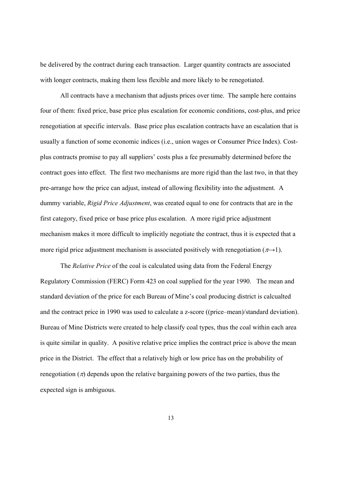be delivered by the contract during each transaction. Larger quantity contracts are associated with longer contracts, making them less flexible and more likely to be renegotiated.

All contracts have a mechanism that adjusts prices over time. The sample here contains four of them: fixed price, base price plus escalation for economic conditions, cost-plus, and price renegotiation at specific intervals. Base price plus escalation contracts have an escalation that is usually a function of some economic indices (i.e., union wages or Consumer Price Index). Costplus contracts promise to pay all suppliers' costs plus a fee presumably determined before the contract goes into effect. The first two mechanisms are more rigid than the last two, in that they pre-arrange how the price can adjust, instead of allowing flexibility into the adjustment. A dummy variable, *Rigid Price Adjustment*, was created equal to one for contracts that are in the first category, fixed price or base price plus escalation. A more rigid price adjustment mechanism makes it more difficult to implicitly negotiate the contract, thus it is expected that a more rigid price adjustment mechanism is associated positively with renegotiation ( $\pi \rightarrow 1$ ).

The *Relative Price* of the coal is calculated using data from the Federal Energy Regulatory Commission (FERC) Form 423 on coal supplied for the year 1990. The mean and standard deviation of the price for each Bureau of Mine's coal producing district is calcualted and the contract price in 1990 was used to calculate a z-score ((price–mean)/standard deviation). Bureau of Mine Districts were created to help classify coal types, thus the coal within each area is quite similar in quality. A positive relative price implies the contract price is above the mean price in the District. The effect that a relatively high or low price has on the probability of renegotiation  $(\pi)$  depends upon the relative bargaining powers of the two parties, thus the expected sign is ambiguous.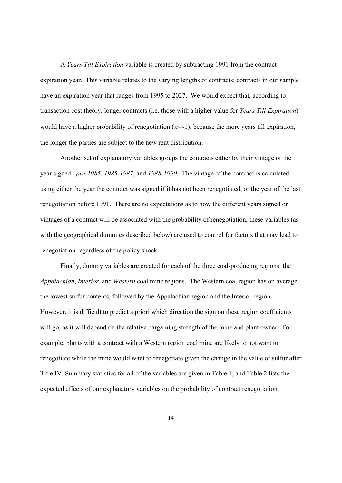A *Years Till Expiration* variable is created by subtracting 1991 from the contract expiration year. This variable relates to the varying lengths of contracts; contracts in our sample have an expiration year that ranges from 1995 to 2027. We would expect that, according to transaction cost theory, longer contracts (i.e. those with a higher value for *Years Till Expiration*) would have a higher probability of renegotiation ( $\pi \rightarrow 1$ ), because the more years till expiration, the longer the parties are subject to the new rent distribution.

Another set of explanatory variables groups the contracts either by their vintage or the year signed: *pre-1985*, *1985-1987*, and *1988-1990*.The vintage of the contract is calculated using either the year the contract was signed if it has not been renegotiated, or the year of the last renegotiation before 1991. There are no expectations as to how the different years signed or vintages of a contract will be associated with the probability of renegotiation; these variables (as with the geographical dummies described below) are used to control for factors that may lead to renegotiation regardless of the policy shock.

Finally, dummy variables are created for each of the three coal-producing regions: the *Appalachian*, *Interior*, and *Western* coal mine regions. The Western coal region has on average the lowest sulfur contents, followed by the Appalachian region and the Interior region. However, it is difficult to predict a priori which direction the sign on these region coefficients will go, as it will depend on the relative bargaining strength of the mine and plant owner. For example, plants with a contract with a Western region coal mine are likely to not want to renegotiate while the mine would want to renegotiate given the change in the value of sulfur after Title IV. Summary statistics for all of the variables are given in Table 1, and Table 2 lists the expected effects of our explanatory variables on the probability of contract renegotiation.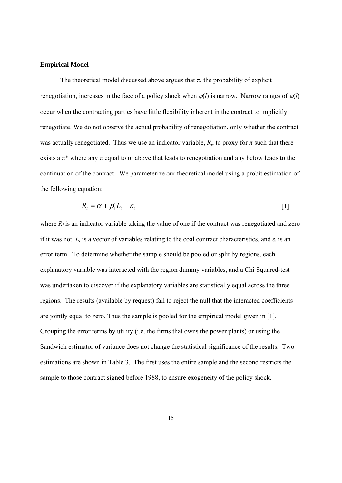#### **Empirical Model**

The theoretical model discussed above argues that  $\pi$ , the probability of explicit renegotiation, increases in the face of a policy shock when  $\varphi(l)$  is narrow. Narrow ranges of  $\varphi(l)$ occur when the contracting parties have little flexibility inherent in the contract to implicitly renegotiate. We do not observe the actual probability of renegotiation, only whether the contract was actually renegotiated. Thus we use an indicator variable,  $R_i$ , to proxy for  $\pi$  such that there exists a  $\pi^*$  where any  $\pi$  equal to or above that leads to renegotiation and any below leads to the continuation of the contract. We parameterize our theoretical model using a probit estimation of the following equation:

$$
R_i = \alpha + \beta_1 L_i + \varepsilon_i \tag{1}
$$

where  $R_i$  is an indicator variable taking the value of one if the contract was renegotiated and zero if it was not,  $L_i$  is a vector of variables relating to the coal contract characteristics, and  $\varepsilon_i$  is an error term. To determine whether the sample should be pooled or split by regions, each explanatory variable was interacted with the region dummy variables, and a Chi Squared-test was undertaken to discover if the explanatory variables are statistically equal across the three regions. The results (available by request) fail to reject the null that the interacted coefficients are jointly equal to zero. Thus the sample is pooled for the empirical model given in [1]. Grouping the error terms by utility (i.e. the firms that owns the power plants) or using the Sandwich estimator of variance does not change the statistical significance of the results. Two estimations are shown in Table 3. The first uses the entire sample and the second restricts the sample to those contract signed before 1988, to ensure exogeneity of the policy shock.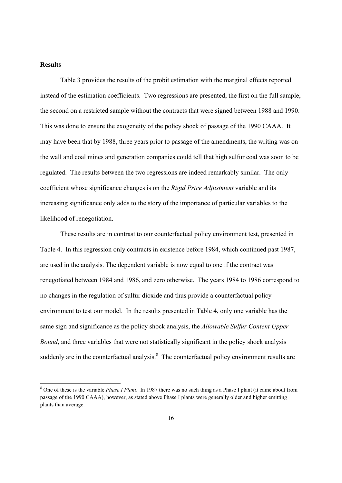#### **Results**

Table 3 provides the results of the probit estimation with the marginal effects reported instead of the estimation coefficients. Two regressions are presented, the first on the full sample, the second on a restricted sample without the contracts that were signed between 1988 and 1990. This was done to ensure the exogeneity of the policy shock of passage of the 1990 CAAA. It may have been that by 1988, three years prior to passage of the amendments, the writing was on the wall and coal mines and generation companies could tell that high sulfur coal was soon to be regulated. The results between the two regressions are indeed remarkably similar. The only coefficient whose significance changes is on the *Rigid Price Adjustment* variable and its increasing significance only adds to the story of the importance of particular variables to the likelihood of renegotiation.

These results are in contrast to our counterfactual policy environment test, presented in Table 4. In this regression only contracts in existence before 1984, which continued past 1987, are used in the analysis. The dependent variable is now equal to one if the contract was renegotiated between 1984 and 1986, and zero otherwise. The years 1984 to 1986 correspond to no changes in the regulation of sulfur dioxide and thus provide a counterfactual policy environment to test our model. In the results presented in Table 4, only one variable has the same sign and significance as the policy shock analysis, the *Allowable Sulfur Content Upper Bound*, and three variables that were not statistically significant in the policy shock analysis suddenly are in the counterfactual analysis. $\delta$  The counterfactual policy environment results are

<sup>&</sup>lt;sup>8</sup> One of these is the variable *Phase I Plant*. In 1987 there was no such thing as a Phase I plant (it came about from passage of the 1990 CAAA), however, as stated above Phase I plants were generally older and higher emitting plants than average.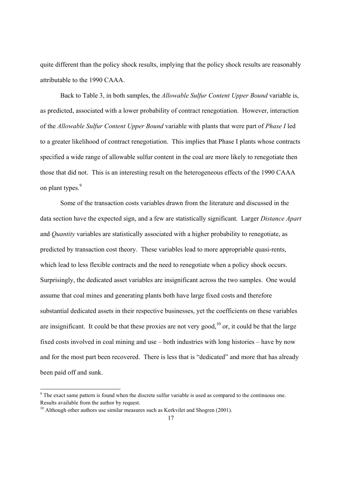quite different than the policy shock results, implying that the policy shock results are reasonably attributable to the 1990 CAAA.

Back to Table 3, in both samples, the *Allowable Sulfur Content Upper Bound* variable is, as predicted, associated with a lower probability of contract renegotiation. However, interaction of the *Allowable Sulfur Content Upper Bound* variable with plants that were part of *Phase I* led to a greater likelihood of contract renegotiation. This implies that Phase I plants whose contracts specified a wide range of allowable sulfur content in the coal are more likely to renegotiate then those that did not. This is an interesting result on the heterogeneous effects of the 1990 CAAA on plant types.<sup>9</sup>

Some of the transaction costs variables drawn from the literature and discussed in the data section have the expected sign, and a few are statistically significant. Larger *Distance Apart*  and *Quantity* variables are statistically associated with a higher probability to renegotiate, as predicted by transaction cost theory. These variables lead to more appropriable quasi-rents, which lead to less flexible contracts and the need to renegotiate when a policy shock occurs. Surprisingly, the dedicated asset variables are insignificant across the two samples. One would assume that coal mines and generating plants both have large fixed costs and therefore substantial dedicated assets in their respective businesses, yet the coefficients on these variables are insignificant. It could be that these proxies are not very good, $10$  or, it could be that the large fixed costs involved in coal mining and use – both industries with long histories – have by now and for the most part been recovered. There is less that is "dedicated" and more that has already been paid off and sunk.

 $9<sup>9</sup>$  The exact same pattern is found when the discrete sulfur variable is used as compared to the continuous one. Results available from the author by request.

 $10$  Although other authors use similar measures such as Kerkvilet and Shogren (2001).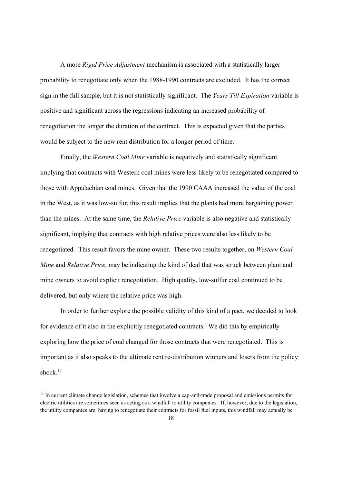A more *Rigid Price Adjustment* mechanism is associated with a statistically larger probability to renegotiate only when the 1988-1990 contracts are excluded. It has the correct sign in the full sample, but it is not statistically significant. The *Years Till Expiration* variable is positive and significant across the regressions indicating an increased probability of renegotiation the longer the duration of the contract. This is expected given that the parties would be subject to the new rent distribution for a longer period of time.

Finally, the *Western Coal Mine* variable is negatively and statistically significant implying that contracts with Western coal mines were less likely to be renegotiated compared to those with Appalachian coal mines. Given that the 1990 CAAA increased the value of the coal in the West, as it was low-sulfur, this result implies that the plants had more bargaining power than the mines. At the same time, the *Relative Price* variable is also negative and statistically significant, implying that contracts with high relative prices were also less likely to be renegotiated. This result favors the mine owner. These two results together, on *Western Coal Mine* and *Relative Price*, may be indicating the kind of deal that was struck between plant and mine owners to avoid explicit renegotiation. High quality, low-sulfur coal continued to be delivered, but only where the relative price was high.

In order to further explore the possible validity of this kind of a pact, we decided to look for evidence of it also in the explicitly renegotiated contracts. We did this by empirically exploring how the price of coal changed for those contracts that were renegotiated. This is important as it also speaks to the ultimate rent re-distribution winners and losers from the policy shock. $11$ 

 $11$  In current climate change legislation, schemes that involve a cap-and-trade proposal and emissions permits for electric utilities are sometimes seen as acting as a windfall to utility companies. If, however, due to the legislation, the utility companies are having to renegotiate their contracts for fossil fuel inputs, this windfall may actually be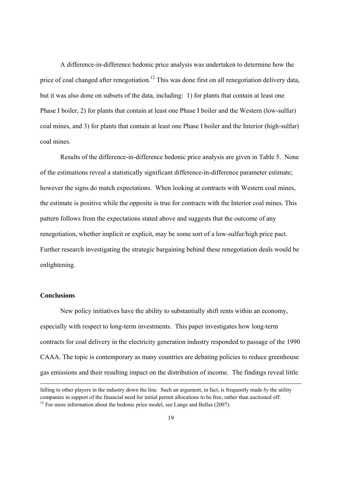A difference-in-difference hedonic price analysis was undertaken to determine how the price of coal changed after renegotiation.<sup>12</sup> This was done first on all renegotiation delivery data, but it was also done on subsets of the data, including: 1) for plants that contain at least one Phase I boiler, 2) for plants that contain at least one Phase I boiler and the Western (low-sulfur) coal mines, and 3) for plants that contain at least one Phase I boiler and the Interior (high-sulfur) coal mines.

Results of the difference-in-difference hedonic price analysis are given in Table 5. None of the estimations reveal a statistically significant difference-in-difference parameter estimate; however the signs do match expectations. When looking at contracts with Western coal mines, the estimate is positive while the opposite is true for contracts with the Interior coal mines. This pattern follows from the expectations stated above and suggests that the outcome of any renegotiation, whether implicit or explicit, may be some sort of a low-sulfur/high price pact. Further research investigating the strategic bargaining behind these renegotiation deals would be enlightening.

#### **Conclusions**

New policy initiatives have the ability to substantially shift rents within an economy, especially with respect to long-term investments. This paper investigates how long-term contracts for coal delivery in the electricity generation industry responded to passage of the 1990 CAAA. The topic is contemporary as many countries are debating policies to reduce greenhouse gas emissions and their resulting impact on the distribution of income. The findings reveal little

<u> 1989 - Johann Barbert Barbert Barbert Barbert Barbert Barbert Barbert Barbert Barbert Barbert Barbert Barbert</u>

falling to other players in the industry down the line. Such an argument, in fact, is frequently made *by* the utility companies in support of the financial need for initial permit allocations to be free, rather than auctioned off.  $12$  For more information about the hedonic price model, see Lange and Bellas (2007).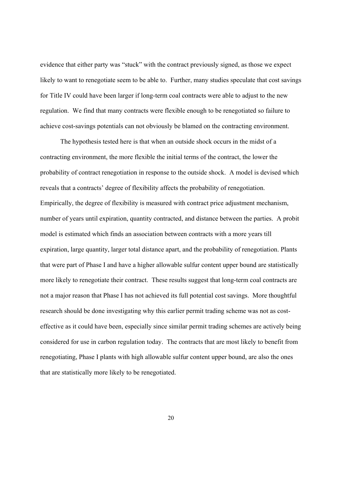evidence that either party was "stuck" with the contract previously signed, as those we expect likely to want to renegotiate seem to be able to. Further, many studies speculate that cost savings for Title IV could have been larger if long-term coal contracts were able to adjust to the new regulation. We find that many contracts were flexible enough to be renegotiated so failure to achieve cost-savings potentials can not obviously be blamed on the contracting environment.

The hypothesis tested here is that when an outside shock occurs in the midst of a contracting environment, the more flexible the initial terms of the contract, the lower the probability of contract renegotiation in response to the outside shock. A model is devised which reveals that a contracts' degree of flexibility affects the probability of renegotiation. Empirically, the degree of flexibility is measured with contract price adjustment mechanism, number of years until expiration, quantity contracted, and distance between the parties. A probit model is estimated which finds an association between contracts with a more years till expiration, large quantity, larger total distance apart, and the probability of renegotiation. Plants that were part of Phase I and have a higher allowable sulfur content upper bound are statistically more likely to renegotiate their contract. These results suggest that long-term coal contracts are not a major reason that Phase I has not achieved its full potential cost savings. More thoughtful research should be done investigating why this earlier permit trading scheme was not as costeffective as it could have been, especially since similar permit trading schemes are actively being considered for use in carbon regulation today. The contracts that are most likely to benefit from renegotiating, Phase I plants with high allowable sulfur content upper bound, are also the ones that are statistically more likely to be renegotiated.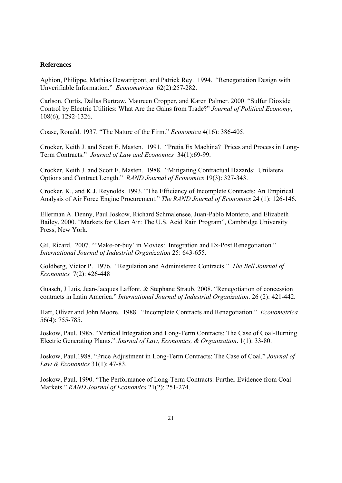#### **References**

Aghion, Philippe, Mathias Dewatripont, and Patrick Rey. 1994. "Renegotiation Design with Unverifiable Information." *Econometrica* 62(2):257-282.

Carlson, Curtis, Dallas Burtraw, Maureen Cropper, and Karen Palmer. 2000. "Sulfur Dioxide Control by Electric Utilities: What Are the Gains from Trade?" *Journal of Political Economy*, 108(6); 1292-1326.

Coase, Ronald. 1937. "The Nature of the Firm." *Economica* 4(16): 386-405.

Crocker, Keith J. and Scott E. Masten. 1991. "Pretia Ex Machina? Prices and Process in Long-Term Contracts." *Journal of Law and Economics* 34(1):69-99.

Crocker, Keith J. and Scott E. Masten. 1988. "Mitigating Contractual Hazards: Unilateral Options and Contract Length." *RAND Journal of Economics* 19(3): 327-343.

Crocker, K., and K.J. Reynolds. 1993. "The Efficiency of Incomplete Contracts: An Empirical Analysis of Air Force Engine Procurement." *The RAND Journal of Economics* 24 (1): 126-146.

Ellerman A. Denny, Paul Joskow, Richard Schmalensee, Juan-Pablo Montero, and Elizabeth Bailey. 2000. "Markets for Clean Air: The U.S. Acid Rain Program", Cambridge University Press, New York.

Gil, Ricard. 2007. "'Make-or-buy' in Movies: Integration and Ex-Post Renegotiation." *International Journal of Industrial Organization* 25: 643-655.

Goldberg, Victor P. 1976. "Regulation and Administered Contracts." *The Bell Journal of Economics* 7(2): 426-448

Guasch, J Luis, Jean-Jacques Laffont, & Stephane Straub. 2008. "Renegotiation of concession contracts in Latin America." *International Journal of Industrial Organization*. 26 (2): 421-442.

Hart, Oliver and John Moore. 1988. "Incomplete Contracts and Renegotiation." *Econometrica* 56(4): 755-785.

Joskow, Paul. 1985. "Vertical Integration and Long-Term Contracts: The Case of Coal-Burning Electric Generating Plants." *Journal of Law, Economics, & Organization*. 1(1): 33-80.

Joskow, Paul.1988. "Price Adjustment in Long-Term Contracts: The Case of Coal." *Journal of Law & Economics* 31(1): 47-83.

Joskow, Paul. 1990. "The Performance of Long-Term Contracts: Further Evidence from Coal Markets." *RAND Journal of Economics* 21(2): 251-274.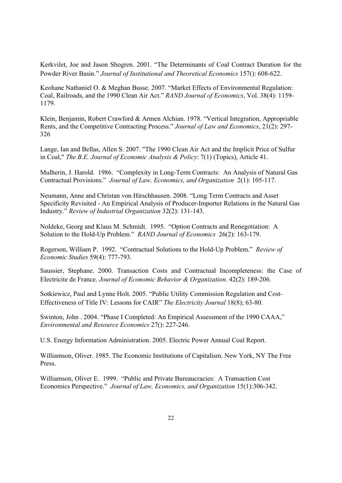Kerkvilet, Joe and Jason Shogren. 2001. "The Determinants of Coal Contract Duration for the Powder River Basin." *Journal of Institutional and Theoretical Economics* 157(): 608-622.

Keohane Nathaniel O. & Meghan Busse. 2007. "Market Effects of Environmental Regulation: Coal, Railroads, and the 1990 Clean Air Act." *RAND Journal of Economics*, Vol. 38(4): 1159- 1179.

Klein, Benjamin, Robert Crawford & Armen Alchian. 1978. "Vertical Integration, Appropriable Rents, and the Competitive Contracting Process." *Journal of Law and Economics*, 21(2): 297- 326

Lange, Ian and Bellas, Allen S. 2007. "The 1990 Clean Air Act and the Implicit Price of Sulfur in Coal," *The B.E. Journal of Economic Analysis & Policy*: 7(1) (Topics), Article 41.

Mulherin, J. Harold. 1986. "Complexity in Long-Term Contracts: An Analysis of Natural Gas Contractual Provisions." *Journal of Law, Economics, and Organization* 2(1): 105-117.

Neumann, Anne and Christan von Hirschhausen. 2008. "Long Term Contracts and Asset Specificity Revisited - An Empirical Analysis of Producer-Importer Relations in the Natural Gas Industry." *Review of Industrial Organization* 32(2): 131-143.

Noldeke, Georg and Klaus M. Schmidt. 1995. "Option Contracts and Renegotiation: A Solution to the Hold-Up Problem." *RAND Journal of Economics* 26(2): 163-179.

Rogerson, William P. 1992. "Contractual Solutions to the Hold-Up Problem." *Review of Economic Studies* 59(4): 777-793.

Saussier, Stephane. 2000. Transaction Costs and Contractual Incompleteness: the Case of Electricite de France. *Journal of Economic Behavior & Organization*. 42(2): 189-206.

Sotkiewicz, Paul and Lynne Holt. 2005. "Public Utility Commission Regulation and Cost-Effectiveness of Title IV: Lessons for CAIR" *The Electricity Journal* 18(8); 63-80.

Swinton, John . 2004. "Phase I Completed: An Empirical Assessment of the 1990 CAAA," *Environmental and Resource Economics* 27(): 227-246.

U.S. Energy Information Administration. 2005. Electric Power Annual Coal Report.

Williamson, Oliver. 1985. The Economic Institutions of Capitalism. New York, NY The Free Press.

Williamson, Oliver E. 1999. "Public and Private Bureaucracies: A Transaction Cost Economics Perspective." *Journal of Law, Economics, and Organization* 15(1):306-342.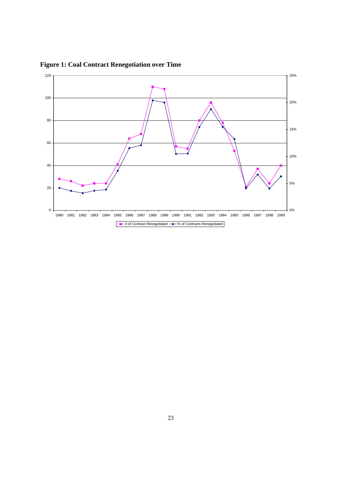

**Figure 1: Coal Contract Renegotiation over Time**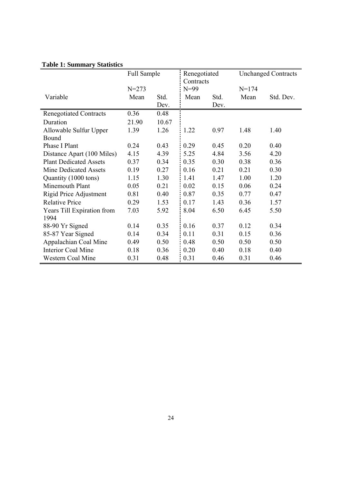|                               | Full Sample |       | Renegotiated |      | <b>Unchanged Contracts</b> |           |
|-------------------------------|-------------|-------|--------------|------|----------------------------|-----------|
|                               |             |       | Contracts    |      |                            |           |
|                               | $N = 273$   |       | $N=99$       |      | $N = 174$                  |           |
| Variable                      | Mean        | Std.  | Mean         | Std. | Mean                       | Std. Dev. |
|                               |             | Dev.  |              | Dev. |                            |           |
| <b>Renegotiated Contracts</b> | 0.36        | 0.48  |              |      |                            |           |
| Duration                      | 21.90       | 10.67 |              |      |                            |           |
| Allowable Sulfur Upper        | 1.39        | 1.26  | 1.22         | 0.97 | 1.48                       | 1.40      |
| Bound                         |             |       |              |      |                            |           |
| Phase I Plant                 | 0.24        | 0.43  | 0.29         | 0.45 | 0.20                       | 0.40      |
| Distance Apart (100 Miles)    | 4.15        | 4.39  | 5.25         | 4.84 | 3.56                       | 4.20      |
| <b>Plant Dedicated Assets</b> | 0.37        | 0.34  | 0.35         | 0.30 | 0.38                       | 0.36      |
| Mine Dedicated Assets         | 0.19        | 0.27  | 0.16         | 0.21 | 0.21                       | 0.30      |
| Quantity (1000 tons)          | 1.15        | 1.30  | 1.41         | 1.47 | 1.00                       | 1.20      |
| Minemouth Plant               | 0.05        | 0.21  | 0.02         | 0.15 | 0.06                       | 0.24      |
| Rigid Price Adjustment        | 0.81        | 0.40  | 0.87         | 0.35 | 0.77                       | 0.47      |
| <b>Relative Price</b>         | 0.29        | 1.53  | 0.17         | 1.43 | 0.36                       | 1.57      |
| Years Till Expiration from    | 7.03        | 5.92  | 8.04         | 6.50 | 6.45                       | 5.50      |
| 1994                          |             |       |              |      |                            |           |
| 88-90 Yr Signed               | 0.14        | 0.35  | 0.16         | 0.37 | 0.12                       | 0.34      |
| 85-87 Year Signed             | 0.14        | 0.34  | 0.11         | 0.31 | 0.15                       | 0.36      |
| Appalachian Coal Mine         | 0.49        | 0.50  | 0.48         | 0.50 | 0.50                       | 0.50      |
| <b>Interior Coal Mine</b>     | 0.18        | 0.36  | 0.20         | 0.40 | 0.18                       | 0.40      |
| <b>Western Coal Mine</b>      | 0.31        | 0.48  | 0.31         | 0.46 | 0.31                       | 0.46      |

### **Table 1: Summary Statistics**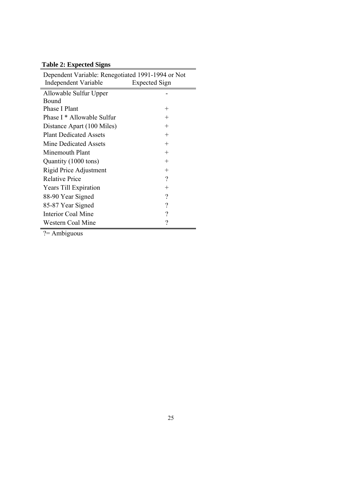## **Table 2: Expected Signs**

| Dependent Variable: Renegotiated 1991-1994 or Not |                          |  |  |  |
|---------------------------------------------------|--------------------------|--|--|--|
| Independent Variable                              | <b>Expected Sign</b>     |  |  |  |
| Allowable Sulfur Upper                            |                          |  |  |  |
| Bound                                             |                          |  |  |  |
| Phase I Plant                                     | $\pm$                    |  |  |  |
| Phase I * Allowable Sulfur                        | $^+$                     |  |  |  |
| Distance Apart (100 Miles)                        | $^{+}$                   |  |  |  |
| <b>Plant Dedicated Assets</b>                     | $^{+}$                   |  |  |  |
| Mine Dedicated Assets                             | $^{+}$                   |  |  |  |
| Minemouth Plant                                   | $^{+}$                   |  |  |  |
| Quantity (1000 tons)                              | $^{+}$                   |  |  |  |
| Rigid Price Adjustment                            | $^{+}$                   |  |  |  |
| <b>Relative Price</b>                             | $\overline{\mathcal{C}}$ |  |  |  |
| Years Till Expiration                             | $^{+}$                   |  |  |  |
| 88-90 Year Signed                                 | $\overline{\mathcal{C}}$ |  |  |  |
| 85-87 Year Signed                                 | $\overline{\phantom{a}}$ |  |  |  |
| Interior Coal Mine                                | $\overline{\mathcal{C}}$ |  |  |  |
| Western Coal Mine                                 | $\gamma$                 |  |  |  |
|                                                   |                          |  |  |  |

 $\frac{1}{?}$  Ambiguous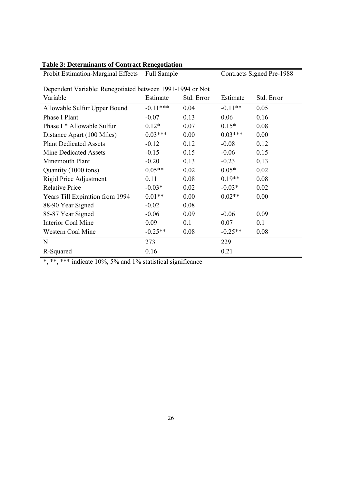| Probit Estimation-Marginal Effects Full Sample            |            |            | <b>Contracts Signed Pre-1988</b> |            |  |
|-----------------------------------------------------------|------------|------------|----------------------------------|------------|--|
| Dependent Variable: Renegotiated between 1991-1994 or Not |            |            |                                  |            |  |
| Variable                                                  | Estimate   | Std. Error | Estimate                         | Std. Error |  |
| Allowable Sulfur Upper Bound                              | $-0.11***$ | 0.04       | $-0.11**$                        | 0.05       |  |
| Phase I Plant                                             | $-0.07$    | 0.13       | 0.06                             | 0.16       |  |
| Phase I * Allowable Sulfur                                | $0.12*$    | 0.07       | $0.15*$                          | 0.08       |  |
| Distance Apart (100 Miles)                                | $0.03***$  | 0.00       | $0.03***$                        | 0.00       |  |
| <b>Plant Dedicated Assets</b>                             | $-0.12$    | 0.12       | $-0.08$                          | 0.12       |  |
| <b>Mine Dedicated Assets</b>                              | $-0.15$    | 0.15       | $-0.06$                          | 0.15       |  |
| Minemouth Plant                                           | $-0.20$    | 0.13       | $-0.23$                          | 0.13       |  |
| Quantity (1000 tons)                                      | $0.05**$   | 0.02       | $0.05*$                          | 0.02       |  |
| <b>Rigid Price Adjustment</b>                             | 0.11       | 0.08       | $0.19**$                         | 0.08       |  |
| <b>Relative Price</b>                                     | $-0.03*$   | 0.02       | $-0.03*$                         | 0.02       |  |
| Years Till Expiration from 1994                           | $0.01**$   | 0.00       | $0.02**$                         | 0.00       |  |
| 88-90 Year Signed                                         | $-0.02$    | 0.08       |                                  |            |  |
| 85-87 Year Signed                                         | $-0.06$    | 0.09       | $-0.06$                          | 0.09       |  |
| <b>Interior Coal Mine</b>                                 | 0.09       | 0.1        | 0.07                             | 0.1        |  |
| Western Coal Mine                                         | $-0.25**$  | 0.08       | $-0.25**$                        | 0.08       |  |
| $\mathbf N$                                               | 273        |            | 229                              |            |  |
| R-Squared                                                 | 0.16       |            | 0.21                             |            |  |

## **Table 3: Determinants of Contract Renegotiation**

 $*$ ,  $**$ ,  $***$  indicate 10%, 5% and 1% statistical significance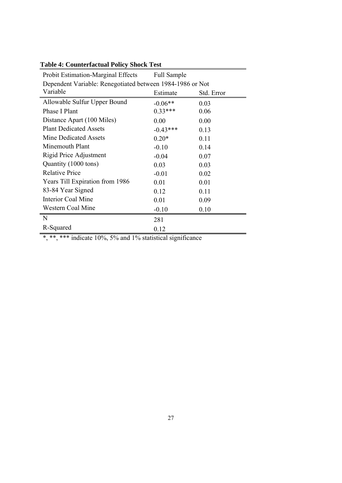| Probit Estimation-Marginal Effects                        | <b>Full Sample</b> |            |  |  |
|-----------------------------------------------------------|--------------------|------------|--|--|
| Dependent Variable: Renegotiated between 1984-1986 or Not |                    |            |  |  |
| Variable                                                  | Estimate           | Std. Error |  |  |
| Allowable Sulfur Upper Bound                              | $-0.06**$          | 0.03       |  |  |
| Phase I Plant                                             | $0.33***$          | 0.06       |  |  |
| Distance Apart (100 Miles)                                | 0.00               | 0.00       |  |  |
| <b>Plant Dedicated Assets</b>                             | $-0.43***$         | 0.13       |  |  |
| <b>Mine Dedicated Assets</b>                              | $0.20*$            | 0.11       |  |  |
| Minemouth Plant                                           | $-0.10$            | 0.14       |  |  |
| Rigid Price Adjustment                                    | $-0.04$            | 0.07       |  |  |
| Quantity (1000 tons)                                      | 0.03               | 0.03       |  |  |
| <b>Relative Price</b>                                     | $-0.01$            | 0.02       |  |  |
| Years Till Expiration from 1986                           | 0.01               | 0.01       |  |  |
| 83-84 Year Signed                                         | 0.12               | 0.11       |  |  |
| Interior Coal Mine                                        | 0.01               | 0.09       |  |  |
| Western Coal Mine                                         | $-0.10$            | 0.10       |  |  |
| N                                                         | 281                |            |  |  |
| R-Squared                                                 | 0.12               |            |  |  |

## **Table 4: Counterfactual Policy Shock Test**

\*, \*\*, \*\*\* indicate 10%, 5% and 1% statistical significance